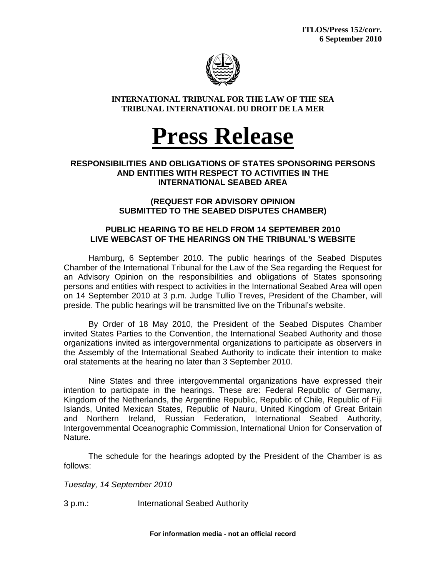

## **INTERNATIONAL TRIBUNAL FOR THE LAW OF THE SEA TRIBUNAL INTERNATIONAL DU DROIT DE LA MER**

# **Press Release**

## **RESPONSIBILITIES AND OBLIGATIONS OF STATES SPONSORING PERSONS AND ENTITIES WITH RESPECT TO ACTIVITIES IN THE INTERNATIONAL SEABED AREA**

## **(REQUEST FOR ADVISORY OPINION SUBMITTED TO THE SEABED DISPUTES CHAMBER)**

## **PUBLIC HEARING TO BE HELD FROM 14 SEPTEMBER 2010 LIVE WEBCAST OF THE HEARINGS ON THE TRIBUNAL'S WEBSITE**

 Hamburg, 6 September 2010. The public hearings of the Seabed Disputes Chamber of the International Tribunal for the Law of the Sea regarding the Request for an Advisory Opinion on the responsibilities and obligations of States sponsoring persons and entities with respect to activities in the International Seabed Area will open on 14 September 2010 at 3 p.m. Judge Tullio Treves, President of the Chamber, will preside. The public hearings will be transmitted live on the Tribunal's website.

By Order of 18 May 2010, the President of the Seabed Disputes Chamber invited States Parties to the Convention, the International Seabed Authority and those organizations invited as intergovernmental organizations to participate as observers in the Assembly of the International Seabed Authority to indicate their intention to make oral statements at the hearing no later than 3 September 2010.

Nine States and three intergovernmental organizations have expressed their intention to participate in the hearings. These are: Federal Republic of Germany, Kingdom of the Netherlands, the Argentine Republic, Republic of Chile, Republic of Fiji Islands, United Mexican States, Republic of Nauru, United Kingdom of Great Britain and Northern Ireland, Russian Federation, International Seabed Authority, Intergovernmental Oceanographic Commission, International Union for Conservation of Nature.

 The schedule for the hearings adopted by the President of the Chamber is as follows:

*Tuesday, 14 September 2010* 

3 p.m.: International Seabed Authority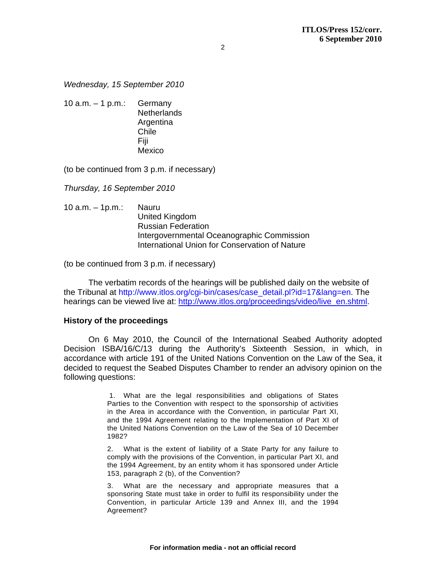### *Wednesday, 15 September 2010*

10 a.m.  $-$  1 p.m.: Germany Netherlands **Argentina** Chile Fiji Mexico

(to be continued from 3 p.m. if necessary)

*Thursday, 16 September 2010* 

10 a.m. – 1p.m.: Nauru United Kingdom Russian Federation Intergovernmental Oceanographic Commission International Union for Conservation of Nature

(to be continued from 3 p.m. if necessary)

The verbatim records of the hearings will be published daily on the website of the Tribunal at http://www.itlos.org/cgi-bin/cases/case\_detail.pl?id=17&lang=en. The hearings can be viewed live at: http://www.itlos.org/proceedings/video/live\_en.shtml.

### **History of the proceedings**

On 6 May 2010, the Council of the International Seabed Authority adopted Decision ISBA/16/C/13 during the Authority's Sixteenth Session, in which, in accordance with article 191 of the United Nations Convention on the Law of the Sea, it decided to request the Seabed Disputes Chamber to render an advisory opinion on the following questions:

> 1. What are the legal responsibilities and obligations of States Parties to the Convention with respect to the sponsorship of activities in the Area in accordance with the Convention, in particular Part XI, and the 1994 Agreement relating to the Implementation of Part XI of the United Nations Convention on the Law of the Sea of 10 December 1982?

> 2. What is the extent of liability of a State Party for any failure to comply with the provisions of the Convention, in particular Part XI, and the 1994 Agreement, by an entity whom it has sponsored under Article 153, paragraph 2 (b), of the Convention?

> What are the necessary and appropriate measures that a sponsoring State must take in order to fulfil its responsibility under the Convention, in particular Article 139 and Annex III, and the 1994 Agreement?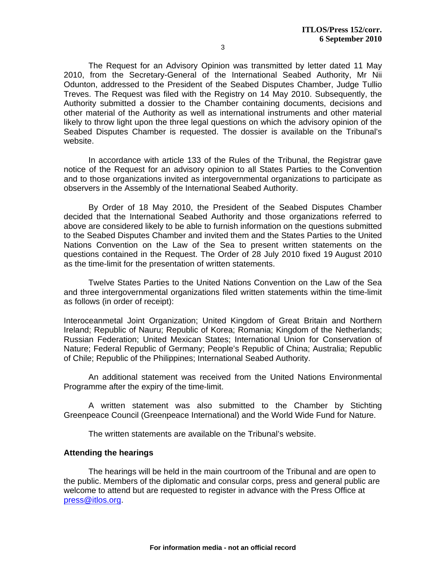3

The Request for an Advisory Opinion was transmitted by letter dated 11 May 2010, from the Secretary-General of the International Seabed Authority, Mr Nii Odunton, addressed to the President of the Seabed Disputes Chamber, Judge Tullio Treves. The Request was filed with the Registry on 14 May 2010. Subsequently, the Authority submitted a dossier to the Chamber containing documents, decisions and other material of the Authority as well as international instruments and other material likely to throw light upon the three legal questions on which the advisory opinion of the Seabed Disputes Chamber is requested. The dossier is available on the Tribunal's website.

In accordance with article 133 of the Rules of the Tribunal, the Registrar gave notice of the Request for an advisory opinion to all States Parties to the Convention and to those organizations invited as intergovernmental organizations to participate as observers in the Assembly of the International Seabed Authority.

By Order of 18 May 2010, the President of the Seabed Disputes Chamber decided that the International Seabed Authority and those organizations referred to above are considered likely to be able to furnish information on the questions submitted to the Seabed Disputes Chamber and invited them and the States Parties to the United Nations Convention on the Law of the Sea to present written statements on the questions contained in the Request. The Order of 28 July 2010 fixed 19 August 2010 as the time-limit for the presentation of written statements.

Twelve States Parties to the United Nations Convention on the Law of the Sea and three intergovernmental organizations filed written statements within the time-limit as follows (in order of receipt):

Interoceanmetal Joint Organization; United Kingdom of Great Britain and Northern Ireland; Republic of Nauru; Republic of Korea; Romania; Kingdom of the Netherlands; Russian Federation; United Mexican States; International Union for Conservation of Nature; Federal Republic of Germany; People's Republic of China; Australia; Republic of Chile; Republic of the Philippines; International Seabed Authority.

 An additional statement was received from the United Nations Environmental Programme after the expiry of the time-limit.

 A written statement was also submitted to the Chamber by Stichting Greenpeace Council (Greenpeace International) and the World Wide Fund for Nature.

The written statements are available on the Tribunal's website.

### **Attending the hearings**

 The hearings will be held in the main courtroom of the Tribunal and are open to the public. Members of the diplomatic and consular corps, press and general public are welcome to attend but are requested to register in advance with the Press Office at press@itlos.org.